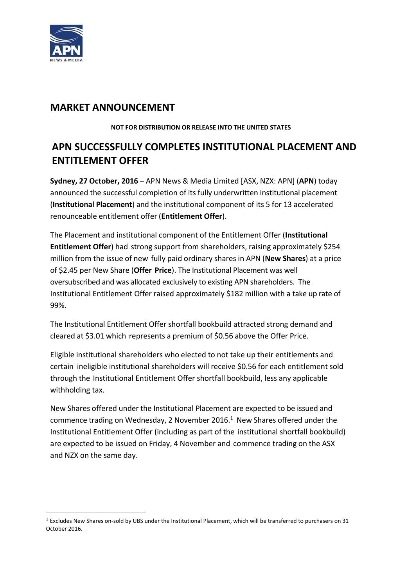

# **MARKET ANNOUNCEMENT**

#### **NOT FOR DISTRIBUTION OR RELEASE INTO THE UNITED STATES**

# **APN SUCCESSFULLY COMPLETES INSTITUTIONAL PLACEMENT AND ENTITLEMENT OFFER**

**Sydney, 27 October, 2016** – APN News & Media Limited [ASX, NZX: APN] (**APN**) today announced the successful completion of its fully underwritten institutional placement (**Institutional Placement**) and the institutional component of its 5 for 13 accelerated renounceable entitlement offer (**Entitlement Offer**).

The Placement and institutional component of the Entitlement Offer (**Institutional Entitlement Offer**) had strong support from shareholders, raising approximately \$254 million from the issue of new fully paid ordinary shares in APN (**New Shares**) at a price of \$2.45 per New Share (**Offer Price**). The Institutional Placement was well oversubscribed and was allocated exclusively to existing APN shareholders. The Institutional Entitlement Offer raised approximately \$182 million with a take up rate of 99%.

The Institutional Entitlement Offer shortfall bookbuild attracted strong demand and cleared at \$3.01 which represents a premium of \$0.56 above the Offer Price.

Eligible institutional shareholders who elected to not take up their entitlements and certain ineligible institutional shareholders will receive \$0.56 for each entitlement sold through the Institutional Entitlement Offer shortfall bookbuild, less any applicable withholding tax.

New Shares offered under the Institutional Placement are expected to be issued and commence trading on Wednesday, 2 November 2016. $1$  New Shares offered under the Institutional Entitlement Offer (including as part of the institutional shortfall bookbuild) are expected to be issued on Friday, 4 November and commence trading on the ASX and NZX on the same day.

 $1$  Excludes New Shares on-sold by UBS under the Institutional Placement, which will be transferred to purchasers on 31 October 2016.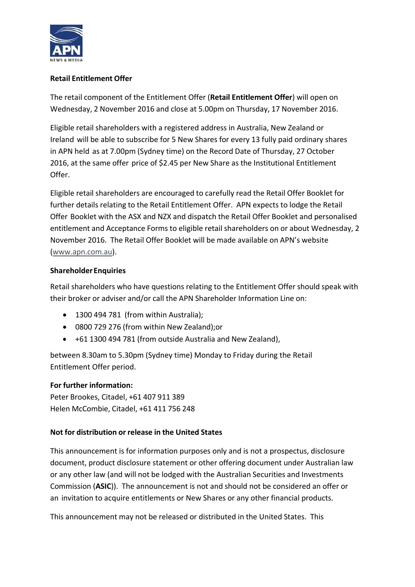

# **Retail Entitlement Offer**

The retail component of the Entitlement Offer (**Retail Entitlement Offer**) will open on Wednesday, 2 November 2016 and close at 5.00pm on Thursday, 17 November 2016.

Eligible retail shareholders with a registered address in Australia, New Zealand or Ireland will be able to subscribe for 5 New Shares for every 13 fully paid ordinary shares in APN held as at 7.00pm (Sydney time) on the Record Date of Thursday, 27 October 2016, at the same offer price of \$2.45 per New Share as the Institutional Entitlement Offer.

Eligible retail shareholders are encouraged to carefully read the Retail Offer Booklet for further details relating to the Retail Entitlement Offer. APN expects to lodge the Retail Offer Booklet with the ASX and NZX and dispatch the Retail Offer Booklet and personalised entitlement and Acceptance Forms to eligible retail shareholders on or about Wednesday, 2 November 2016. The Retail Offer Booklet will be made available on APN's website (www.apn.com.au).

# **ShareholderEnquiries**

Retail shareholders who have questions relating to the Entitlement Offer should speak with their broker or adviser and/or call the APN Shareholder Information Line on:

- 1300 494 781 (from within Australia);
- 0800 729 276 (from within New Zealand);or
- +61 1300 494 781 (from outside Australia and New Zealand),

between 8.30am to 5.30pm (Sydney time) Monday to Friday during the Retail Entitlement Offer period.

### **For further information:**

Peter Brookes, Citadel, +61 407 911 389 Helen McCombie, Citadel, +61 411 756 248

### **Not for distribution or release in the United States**

This announcement is for information purposes only and is not a prospectus, disclosure document, product disclosure statement or other offering document under Australian law or any other law (and will not be lodged with the Australian Securities and Investments Commission (**ASIC**)). The announcement is not and should not be considered an offer or an invitation to acquire entitlements or New Shares or any other financial products.

This announcement may not be released or distributed in the United States. This